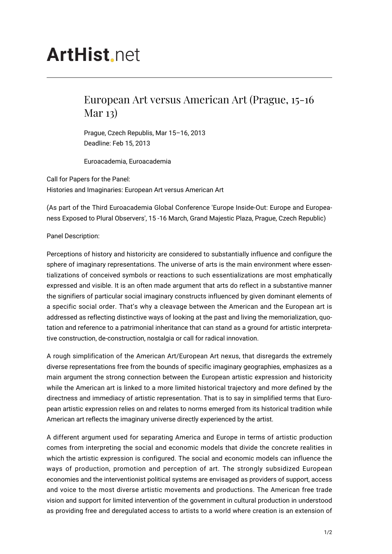## **ArtHist** net

## European Art versus American Art (Prague, 15-16 Mar 13)

Prague, Czech Republis, Mar 15–16, 2013 Deadline: Feb 15, 2013

Euroacademia, Euroacademia

Call for Papers for the Panel: Histories and Imaginaries: European Art versus American Art

(As part of the Third Euroacademia Global Conference 'Europe Inside-Out: Europe and Europeaness Exposed to Plural Observers', 15 -16 March, Grand Majestic Plaza, Prague, Czech Republic)

Panel Description:

Perceptions of history and historicity are considered to substantially influence and configure the sphere of imaginary representations. The universe of arts is the main environment where essentializations of conceived symbols or reactions to such essentializations are most emphatically expressed and visible. It is an often made argument that arts do reflect in a substantive manner the signifiers of particular social imaginary constructs influenced by given dominant elements of a specific social order. That's why a cleavage between the American and the European art is addressed as reflecting distinctive ways of looking at the past and living the memorialization, quotation and reference to a patrimonial inheritance that can stand as a ground for artistic interpretative construction, de-construction, nostalgia or call for radical innovation.

A rough simplification of the American Art/European Art nexus, that disregards the extremely diverse representations free from the bounds of specific imaginary geographies, emphasizes as a main argument the strong connection between the European artistic expression and historicity while the American art is linked to a more limited historical trajectory and more defined by the directness and immediacy of artistic representation. That is to say in simplified terms that European artistic expression relies on and relates to norms emerged from its historical tradition while American art reflects the imaginary universe directly experienced by the artist.

A different argument used for separating America and Europe in terms of artistic production comes from interpreting the social and economic models that divide the concrete realities in which the artistic expression is configured. The social and economic models can influence the ways of production, promotion and perception of art. The strongly subsidized European economies and the interventionist political systems are envisaged as providers of support, access and voice to the most diverse artistic movements and productions. The American free trade vision and support for limited intervention of the government in cultural production in understood as providing free and deregulated access to artists to a world where creation is an extension of